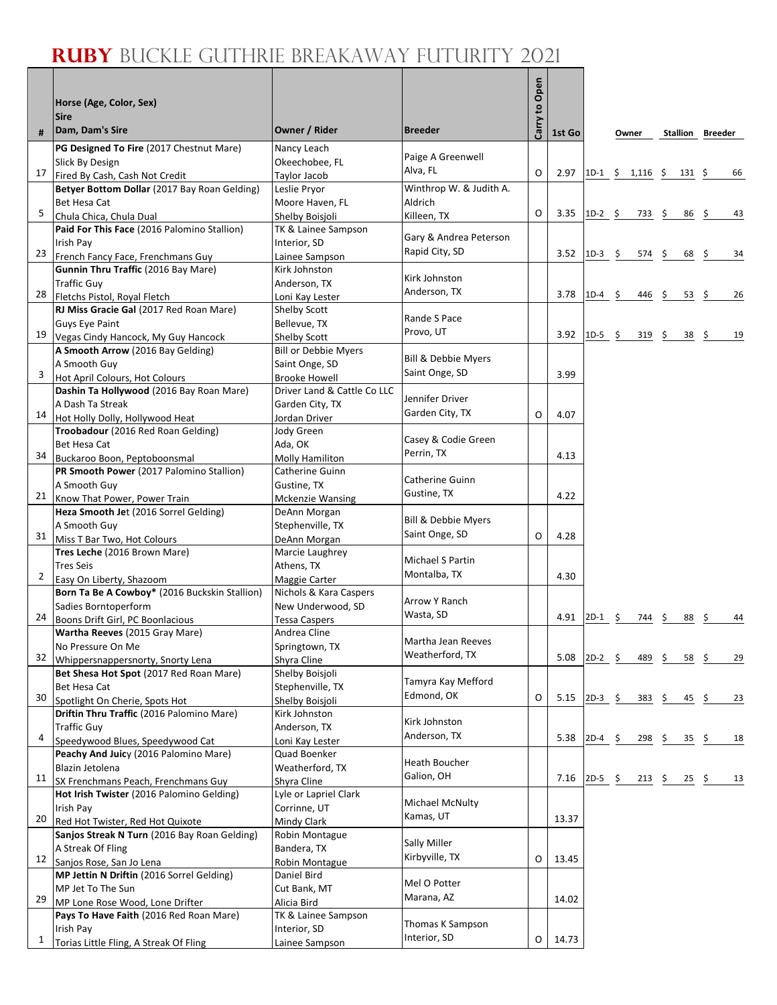## **RUBY** BUCKLE GUTHRIE BREAKAWAY FUTURITY 2021

٦

Г

|              | Horse (Age, Color, Sex)<br><b>Sire</b>                                |                                             |                                  | Open<br>$\mathbf{c}$ |        |                           |       |               |     |                  |                         |    |
|--------------|-----------------------------------------------------------------------|---------------------------------------------|----------------------------------|----------------------|--------|---------------------------|-------|---------------|-----|------------------|-------------------------|----|
| #            | Dam, Dam's Sire                                                       | Owner / Rider                               | <b>Breeder</b>                   | Carry                | 1st Go |                           | Owner |               |     |                  | <b>Stallion Breeder</b> |    |
|              | PG Designed To Fire (2017 Chestnut Mare)                              | Nancy Leach                                 |                                  |                      |        |                           |       |               |     |                  |                         |    |
|              | Slick By Design                                                       | Okeechobee, FL                              | Paige A Greenwell                |                      |        |                           |       |               |     |                  |                         |    |
| 17           | Fired By Cash, Cash Not Credit                                        | Taylor Jacob                                | Alva, FL                         | $\Omega$             | 2.97   | $1D-1$ \$ 1,116 \$ 131 \$ |       |               |     |                  |                         | 66 |
|              | Betyer Bottom Dollar (2017 Bay Roan Gelding)                          | Leslie Pryor                                | Winthrop W. & Judith A.          |                      |        |                           |       |               |     |                  |                         |    |
|              | <b>Bet Hesa Cat</b>                                                   | Moore Haven, FL                             | Aldrich                          |                      |        |                           |       |               |     |                  |                         |    |
| 5            | Chula Chica, Chula Dual                                               | Shelby Boisjoli                             | Killeen, TX                      | O                    | 3.35   | $1D-2$ \$                 |       | $733 \quad 5$ |     | $86 \frac{2}{3}$ |                         | 43 |
|              | Paid For This Face (2016 Palomino Stallion)                           | TK & Lainee Sampson                         | Gary & Andrea Peterson           |                      |        |                           |       |               |     |                  |                         |    |
| 23           | Irish Pay<br>French Fancy Face, Frenchmans Guy                        | Interior, SD                                | Rapid City, SD                   |                      | 3.52   | $1D-3$ \$                 |       | 574 \$        |     | 68 \$            |                         | 34 |
|              | Gunnin Thru Traffic (2016 Bay Mare)                                   | Lainee Sampson<br>Kirk Johnston             |                                  |                      |        |                           |       |               |     |                  |                         |    |
|              | <b>Traffic Guy</b>                                                    | Anderson, TX                                | Kirk Johnston                    |                      |        |                           |       |               |     |                  |                         |    |
| 28           | Fletchs Pistol, Royal Fletch                                          | Loni Kay Lester                             | Anderson, TX                     |                      | 3.78   | $1D-4$                    | \$    | 446           | \$  | 53               | -\$                     | 26 |
|              | RJ Miss Gracie Gal (2017 Red Roan Mare)                               | Shelby Scott                                |                                  |                      |        |                           |       |               |     |                  |                         |    |
|              | <b>Guys Eye Paint</b>                                                 | Bellevue, TX                                | Rande S Pace                     |                      |        |                           |       |               |     |                  |                         |    |
| 19           | Vegas Cindy Hancock, My Guy Hancock                                   | Shelby Scott                                | Provo, UT                        |                      | 3.92   | $1D-5$ \$                 |       | 319           | \$  | 38               | -\$                     | 19 |
|              | A Smooth Arrow (2016 Bay Gelding)                                     | <b>Bill or Debbie Myers</b>                 |                                  |                      |        |                           |       |               |     |                  |                         |    |
|              | A Smooth Guy                                                          | Saint Onge, SD                              | Bill & Debbie Myers              |                      |        |                           |       |               |     |                  |                         |    |
| 3            | Hot April Colours, Hot Colours                                        | <b>Brooke Howell</b>                        | Saint Onge, SD                   |                      | 3.99   |                           |       |               |     |                  |                         |    |
|              | Dashin Ta Hollywood (2016 Bay Roan Mare)                              | Driver Land & Cattle Co LLC                 | Jennifer Driver                  |                      |        |                           |       |               |     |                  |                         |    |
|              | A Dash Ta Streak                                                      | Garden City, TX                             | Garden City, TX                  |                      |        |                           |       |               |     |                  |                         |    |
| 14           | Hot Holly Dolly, Hollywood Heat                                       | Jordan Driver                               |                                  | O                    | 4.07   |                           |       |               |     |                  |                         |    |
|              | Troobadour (2016 Red Roan Gelding)                                    | Jody Green                                  | Casey & Codie Green              |                      |        |                           |       |               |     |                  |                         |    |
| 34           | Bet Hesa Cat<br>Buckaroo Boon, Peptoboonsmal                          | Ada, OK<br>Molly Hamiliton                  | Perrin, TX                       |                      | 4.13   |                           |       |               |     |                  |                         |    |
|              | PR Smooth Power (2017 Palomino Stallion)                              | Catherine Guinn                             |                                  |                      |        |                           |       |               |     |                  |                         |    |
|              | A Smooth Guy                                                          | Gustine, TX                                 | Catherine Guinn                  |                      |        |                           |       |               |     |                  |                         |    |
| 21           | Know That Power, Power Train                                          | Mckenzie Wansing                            | Gustine, TX                      |                      | 4.22   |                           |       |               |     |                  |                         |    |
|              | Heza Smooth Jet (2016 Sorrel Gelding)                                 | DeAnn Morgan                                |                                  |                      |        |                           |       |               |     |                  |                         |    |
|              | A Smooth Guy                                                          | Stephenville, TX                            | Bill & Debbie Myers              |                      |        |                           |       |               |     |                  |                         |    |
| 31           | Miss T Bar Two, Hot Colours                                           | DeAnn Morgan                                | Saint Onge, SD                   | O                    | 4.28   |                           |       |               |     |                  |                         |    |
|              | Tres Leche (2016 Brown Mare)                                          | Marcie Laughrey                             | <b>Michael S Partin</b>          |                      |        |                           |       |               |     |                  |                         |    |
|              | <b>Tres Seis</b>                                                      | Athens, TX                                  | Montalba, TX                     |                      | 4.30   |                           |       |               |     |                  |                         |    |
| 2            | Easy On Liberty, Shazoom                                              | Maggie Carter                               |                                  |                      |        |                           |       |               |     |                  |                         |    |
|              | Born Ta Be A Cowboy* (2016 Buckskin Stallion)<br>Sadies Borntoperform | Nichols & Kara Caspers<br>New Underwood, SD | Arrow Y Ranch                    |                      |        |                           |       |               |     |                  |                         |    |
| 24           | Boons Drift Girl, PC Boonlacious                                      | <b>Tessa Caspers</b>                        | Wasta, SD                        |                      | 4.91   | $2D-1$ \$                 |       | 744           | \$. | 88               | -\$                     | 44 |
|              | Wartha Reeves (2015 Gray Mare)                                        | Andrea Cline                                |                                  |                      |        |                           |       |               |     |                  |                         |    |
|              | No Pressure On Me                                                     | Springtown, TX                              | Martha Jean Reeves               |                      |        |                           |       |               |     |                  |                         |    |
| 32           | Whippersnappersnorty, Snorty Lena                                     | Shyra Cline                                 | Weatherford, TX                  |                      | 5.08   | $2D-2$ \$                 |       | 489 \$        |     | 58 \$            |                         | 29 |
|              | Bet Shesa Hot Spot (2017 Red Roan Mare)                               | Shelby Boisjoli                             |                                  |                      |        |                           |       |               |     |                  |                         |    |
|              | Bet Hesa Cat                                                          | Stephenville, TX                            | Tamyra Kay Mefford<br>Edmond, OK |                      |        |                           |       |               |     |                  |                         |    |
| 30           | Spotlight On Cherie, Spots Hot                                        | Shelby Boisjoli                             |                                  | O                    | 5.15   | $2D-3$ \$                 |       | 383           | \$. | 45               | \$.                     | 23 |
|              | Driftin Thru Traffic (2016 Palomino Mare)                             | Kirk Johnston                               | Kirk Johnston                    |                      |        |                           |       |               |     |                  |                         |    |
| 4            | <b>Traffic Guy</b>                                                    | Anderson, TX                                | Anderson, TX                     |                      | 5.38   | $2D-4$ \$                 |       | 298           | \$  | 35               | S.                      | 18 |
|              | Speedywood Blues, Speedywood Cat                                      | Loni Kay Lester                             |                                  |                      |        |                           |       |               |     |                  |                         |    |
|              | Peachy And Juicy (2016 Palomino Mare)<br>Blazin Jetolena              | Quad Boenker<br>Weatherford, TX             | <b>Heath Boucher</b>             |                      |        |                           |       |               |     |                  |                         |    |
| 11           | SX Frenchmans Peach, Frenchmans Guy                                   | Shyra Cline                                 | Galion, OH                       |                      | 7.16   | $2D-5$ \$                 |       | $213 \quad $$ |     | $25 \quad$ \$    |                         | 13 |
|              | Hot Irish Twister (2016 Palomino Gelding)                             | Lyle or Lapriel Clark                       |                                  |                      |        |                           |       |               |     |                  |                         |    |
|              | Irish Pay                                                             | Corrinne, UT                                | Michael McNulty                  |                      |        |                           |       |               |     |                  |                         |    |
| 20           | Red Hot Twister, Red Hot Quixote                                      | Mindy Clark                                 | Kamas, UT                        |                      | 13.37  |                           |       |               |     |                  |                         |    |
|              | Sanjos Streak N Turn (2016 Bay Roan Gelding)                          | Robin Montague                              | Sally Miller                     |                      |        |                           |       |               |     |                  |                         |    |
|              | A Streak Of Fling                                                     | Bandera, TX                                 | Kirbyville, TX                   |                      |        |                           |       |               |     |                  |                         |    |
| 12           | Sanjos Rose, San Jo Lena                                              | Robin Montague                              |                                  | O                    | 13.45  |                           |       |               |     |                  |                         |    |
|              | MP Jettin N Driftin (2016 Sorrel Gelding)                             | Daniel Bird                                 | Mel O Potter                     |                      |        |                           |       |               |     |                  |                         |    |
| 29           | MP Jet To The Sun<br>MP Lone Rose Wood, Lone Drifter                  | Cut Bank, MT<br>Alicia Bird                 | Marana, AZ                       |                      | 14.02  |                           |       |               |     |                  |                         |    |
|              | Pays To Have Faith (2016 Red Roan Mare)                               | TK & Lainee Sampson                         |                                  |                      |        |                           |       |               |     |                  |                         |    |
|              | Irish Pay                                                             | Interior, SD                                | Thomas K Sampson                 |                      |        |                           |       |               |     |                  |                         |    |
| $\mathbf{1}$ | Torias Little Fling, A Streak Of Fling                                | Lainee Sampson                              | Interior, SD                     | O                    | 14.73  |                           |       |               |     |                  |                         |    |